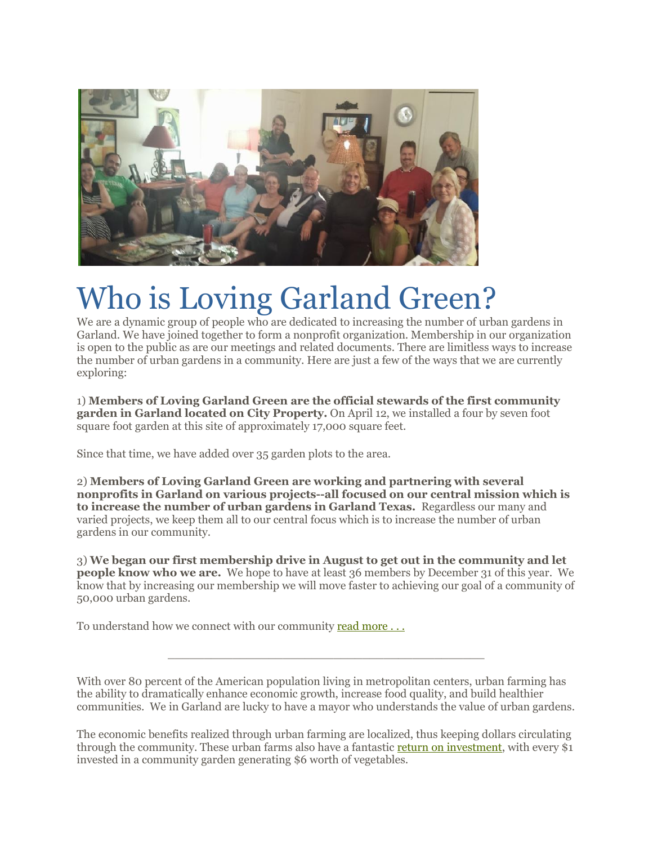

# Who is Loving Garland Green?

We are a dynamic group of people who are dedicated to increasing the number of urban gardens in Garland. We have joined together to form a nonprofit organization. Membership in our organization is open to the public as are our meetings and related documents. There are limitless ways to increase the number of urban gardens in a community. Here are just a few of the ways that we are currently exploring:

1) **Members of Loving Garland Green are the official stewards of the first community garden in Garland located on City Property.** On April 12, we installed a four by seven foot square foot garden at this site of approximately 17,000 square feet.

Since that time, we have added over 35 garden plots to the area.

2) **Members of Loving Garland Green are working and partnering with several nonprofits in Garland on various projects--all focused on our central mission which is to increase the number of urban gardens in Garland Texas.** Regardless our many and varied projects, we keep them all to our central focus which is to increase the number of urban gardens in our community.

3) **We began our first membership drive in August to get out in the community and let people know who we are.** We hope to have at least 36 members by December 31 of this year. We know that by increasing our membership we will move faster to achieving our goal of a community of 50,000 urban gardens.

To understand how we connect with our community [read more . . .](http://lovinggarlandgreen.org/index.php/download_file/view/214/)

With over 80 percent of the American population living in metropolitan centers, urban farming has the ability to dramatically enhance economic growth, increase food quality, and build healthier communities. We in Garland are lucky to have a mayor who understands the value of urban gardens.

\_\_\_\_\_\_\_\_\_\_\_\_\_\_\_\_\_\_\_\_\_\_\_\_\_\_\_\_\_\_\_\_\_\_\_\_\_\_\_\_\_\_\_\_

The economic benefits realized through urban farming are localized, thus keeping dollars circulating through the community. These urban farms also have a fantastic [return on investment,](http://www.foodsecurity.org/UAHealthFactsheet.pdf) with every \$1 invested in a community garden generating \$6 worth of vegetables.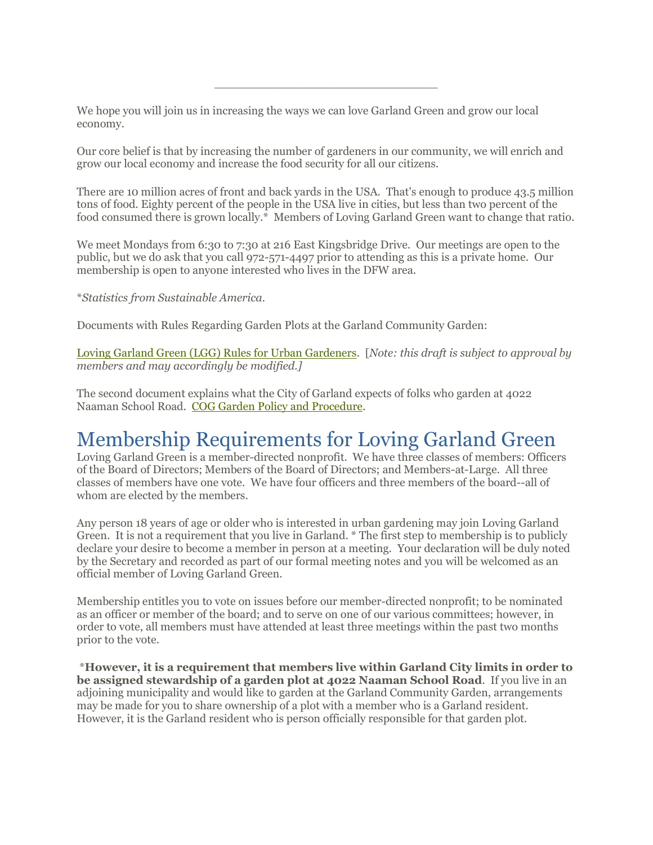We hope you will join us in increasing the ways we can love Garland Green and grow our local economy.

Our core belief is that by increasing the number of gardeners in our community, we will enrich and grow our local economy and increase the food security for all our citizens.

\_\_\_\_\_\_\_\_\_\_\_\_\_\_\_\_\_\_\_\_\_\_\_\_\_\_\_\_\_\_\_

There are 10 million acres of front and back yards in the USA. That's enough to produce 43.5 million tons of food. Eighty percent of the people in the USA live in cities, but less than two percent of the food consumed there is grown locally.\* Members of Loving Garland Green want to change that ratio.

We meet Mondays from 6:30 to 7:30 at 216 East Kingsbridge Drive. Our meetings are open to the public, but we do ask that you call 972-571-4497 prior to attending as this is a private home. Our membership is open to anyone interested who lives in the DFW area.

\**Statistics from Sustainable America.*

Documents with Rules Regarding Garden Plots at the Garland Community Garden:

[Loving Garland Green \(LGG\) Rules for Urban Gardeners.](http://lovinggarlandgreen.org/index.php/download_file/view/111/) [*Note: this draft is subject to approval by members and may accordingly be modified.]*

The second document explains what the City of Garland expects of folks who garden at 4022 Naaman School Road. [COG Garden Policy and Procedure.](http://lovinggarlandgreen.org/index.php/download_file/view/112/)

#### Membership Requirements for Loving Garland Green

Loving Garland Green is a member-directed nonprofit. We have three classes of members: Officers of the Board of Directors; Members of the Board of Directors; and Members-at-Large. All three classes of members have one vote. We have four officers and three members of the board--all of whom are elected by the members.

Any person 18 years of age or older who is interested in urban gardening may join Loving Garland Green. It is not a requirement that you live in Garland. \* The first step to membership is to publicly declare your desire to become a member in person at a meeting. Your declaration will be duly noted by the Secretary and recorded as part of our formal meeting notes and you will be welcomed as an official member of Loving Garland Green.

Membership entitles you to vote on issues before our member-directed nonprofit; to be nominated as an officer or member of the board; and to serve on one of our various committees; however, in order to vote, all members must have attended at least three meetings within the past two months prior to the vote.

\***However, it is a requirement that members live within Garland City limits in order to be assigned stewardship of a garden plot at 4022 Naaman School Road**. If you live in an adjoining municipality and would like to garden at the Garland Community Garden, arrangements may be made for you to share ownership of a plot with a member who is a Garland resident. However, it is the Garland resident who is person officially responsible for that garden plot.